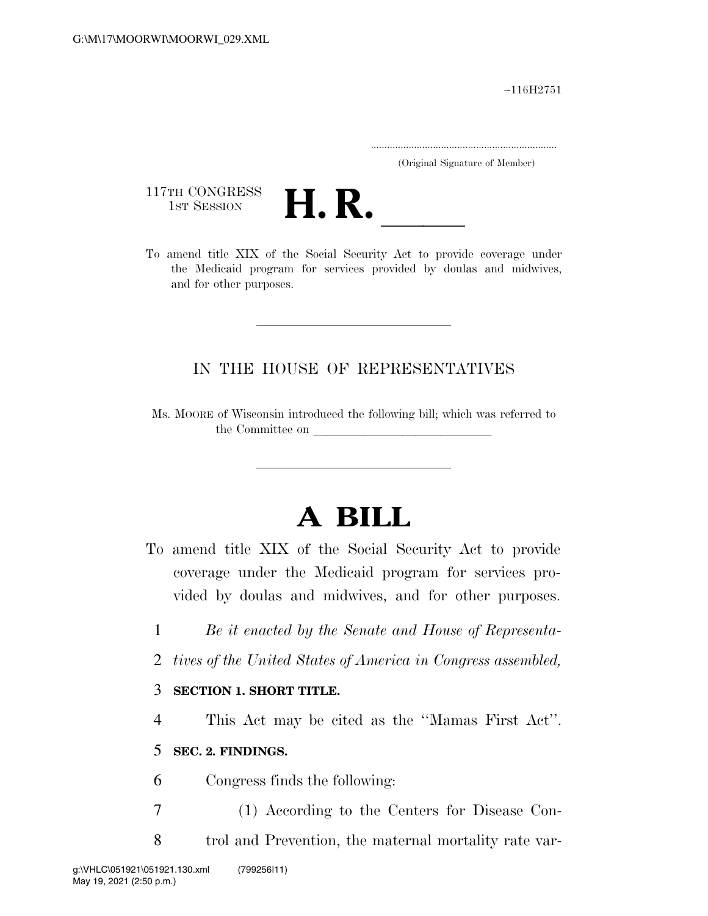∼116H2751

.....................................................................

(Original Signature of Member)

117TH CONGRESS<br>1st Session



117TH CONGRESS<br>1st SESSION **H. R.** <u>Internative Act to provide coverage under</u><br>To amend title XIX of the Social Security Act to provide coverage under the Medicaid program for services provided by doulas and midwives, and for other purposes.

## IN THE HOUSE OF REPRESENTATIVES

Ms. MOORE of Wisconsin introduced the following bill; which was referred to the Committee on

## **A BILL**

- To amend title XIX of the Social Security Act to provide coverage under the Medicaid program for services provided by doulas and midwives, and for other purposes.
	- 1 *Be it enacted by the Senate and House of Representa-*
	- 2 *tives of the United States of America in Congress assembled,*

## 3 **SECTION 1. SHORT TITLE.**

4 This Act may be cited as the ''Mamas First Act''.

## 5 **SEC. 2. FINDINGS.**

- 6 Congress finds the following:
- 7 (1) According to the Centers for Disease Con-
- 8 trol and Prevention, the maternal mortality rate var-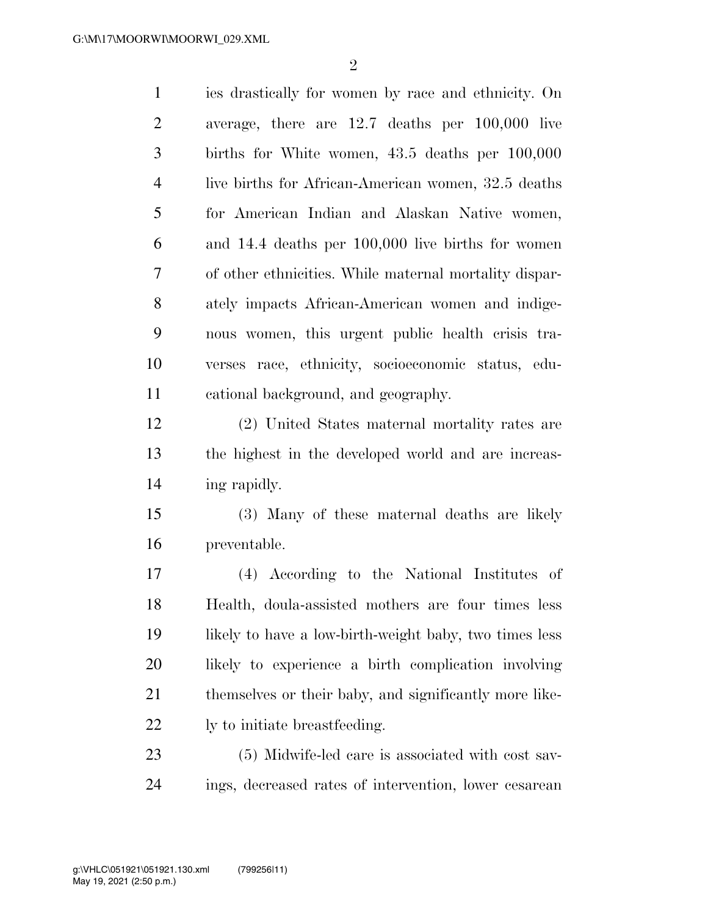$\mathfrak{D}$ 

 ies drastically for women by race and ethnicity. On average, there are 12.7 deaths per 100,000 live births for White women, 43.5 deaths per 100,000 live births for African-American women, 32.5 deaths for American Indian and Alaskan Native women, and 14.4 deaths per 100,000 live births for women of other ethnicities. While maternal mortality dispar- ately impacts African-American women and indige- nous women, this urgent public health crisis tra- verses race, ethnicity, socioeconomic status, edu- cational background, and geography. (2) United States maternal mortality rates are the highest in the developed world and are increas- ing rapidly. (3) Many of these maternal deaths are likely preventable. (4) According to the National Institutes of

 Health, doula-assisted mothers are four times less likely to have a low-birth-weight baby, two times less likely to experience a birth complication involving themselves or their baby, and significantly more like-ly to initiate breastfeeding.

 (5) Midwife-led care is associated with cost sav-ings, decreased rates of intervention, lower cesarean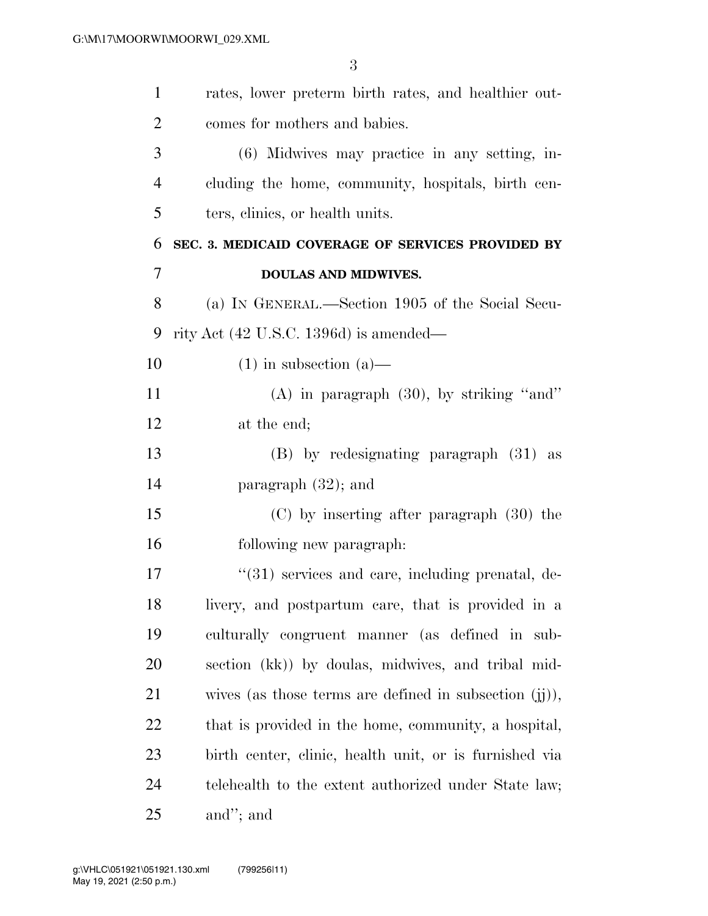| $\mathbf{1}$   | rates, lower preterm birth rates, and healthier out-        |
|----------------|-------------------------------------------------------------|
| $\overline{c}$ | comes for mothers and babies.                               |
| 3              | (6) Midwives may practice in any setting, in-               |
| $\overline{4}$ | cluding the home, community, hospitals, birth cen-          |
| 5              | ters, clinics, or health units.                             |
| 6              | SEC. 3. MEDICAID COVERAGE OF SERVICES PROVIDED BY           |
| $\overline{7}$ | <b>DOULAS AND MIDWIVES.</b>                                 |
| 8              | (a) IN GENERAL.—Section 1905 of the Social Secu-            |
| 9              | rity Act $(42 \text{ U.S.C. } 1396d)$ is amended—           |
| 10             | $(1)$ in subsection $(a)$ —                                 |
| 11             | $(A)$ in paragraph $(30)$ , by striking "and"               |
| 12             | at the end;                                                 |
| 13             | (B) by redesignating paragraph (31) as                      |
| 14             | paragraph $(32)$ ; and                                      |
| 15             | $(C)$ by inserting after paragraph $(30)$ the               |
| 16             | following new paragraph:                                    |
| 17             | $\cdot\cdot(31)$ services and care, including prenatal, de- |
| 18             | livery, and postpartum care, that is provided in a          |
| 19             | culturally congruent manner (as defined in sub-             |
| <b>20</b>      | section (kk)) by doulas, midwives, and tribal mid-          |
| 21             | wives (as those terms are defined in subsection $(ij)$ ),   |
| 22             | that is provided in the home, community, a hospital,        |
| 23             | birth center, clinic, health unit, or is furnished via      |
| 24             | telehealth to the extent authorized under State law;        |
| 25             | and"; and                                                   |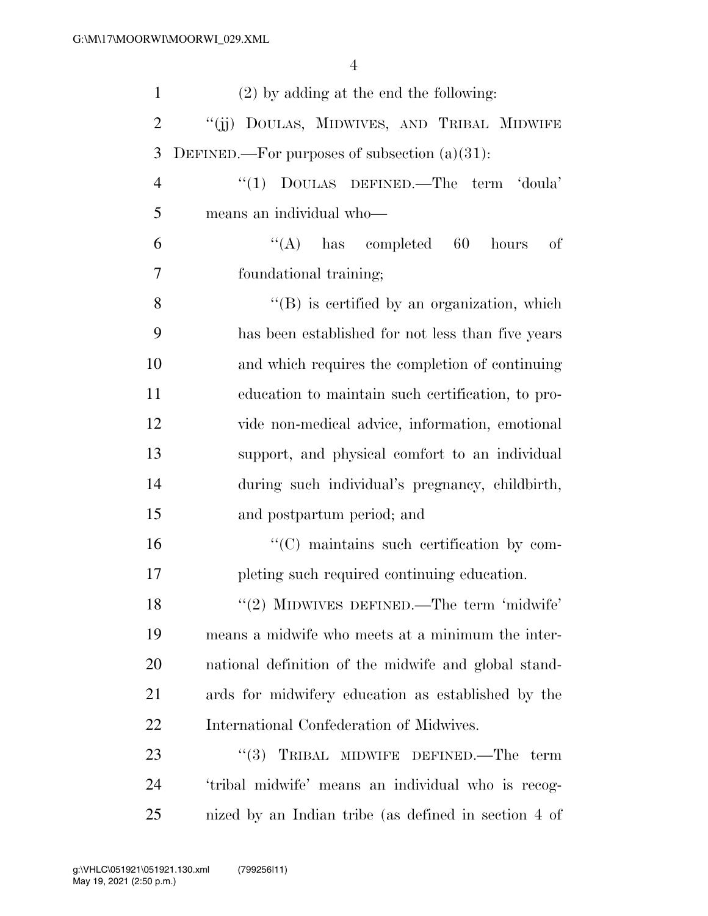| $\mathbf{1}$   | $(2)$ by adding at the end the following:            |
|----------------|------------------------------------------------------|
| $\overline{2}$ | "(ii) DOULAS, MIDWIVES, AND TRIBAL MIDWIFE           |
| 3              | DEFINED.—For purposes of subsection $(a)(31)$ :      |
| $\overline{4}$ | "(1) DOULAS DEFINED.—The term 'doula'                |
| 5              | means an individual who-                             |
| 6              | $\lq\lq$ (A) has completed 60<br>hours<br>οf         |
| $\overline{7}$ | foundational training;                               |
| 8              | $\lq\lq (B)$ is certified by an organization, which  |
| 9              | has been established for not less than five years    |
| 10             | and which requires the completion of continuing      |
| 11             | education to maintain such certification, to pro-    |
| 12             | vide non-medical advice, information, emotional      |
| 13             | support, and physical comfort to an individual       |
| 14             | during such individual's pregnancy, childbirth,      |
| 15             | and postpartum period; and                           |
| 16             | "(C) maintains such certification by com-            |
| 17             | pleting such required continuing education.          |
| 18             | $"(2)$ MIDWIVES DEFINED.—The term 'midwife'          |
| 19             | means a midwife who meets at a minimum the inter-    |
| <b>20</b>      | national definition of the midwife and global stand- |
| 21             | ards for midwifery education as established by the   |
| 22             | International Confederation of Midwives.             |
| 23             | (3)<br>TRIBAL MIDWIFE DEFINED.—The term              |
| 24             | 'tribal midwife' means an individual who is recog-   |
| 25             | nized by an Indian tribe (as defined in section 4 of |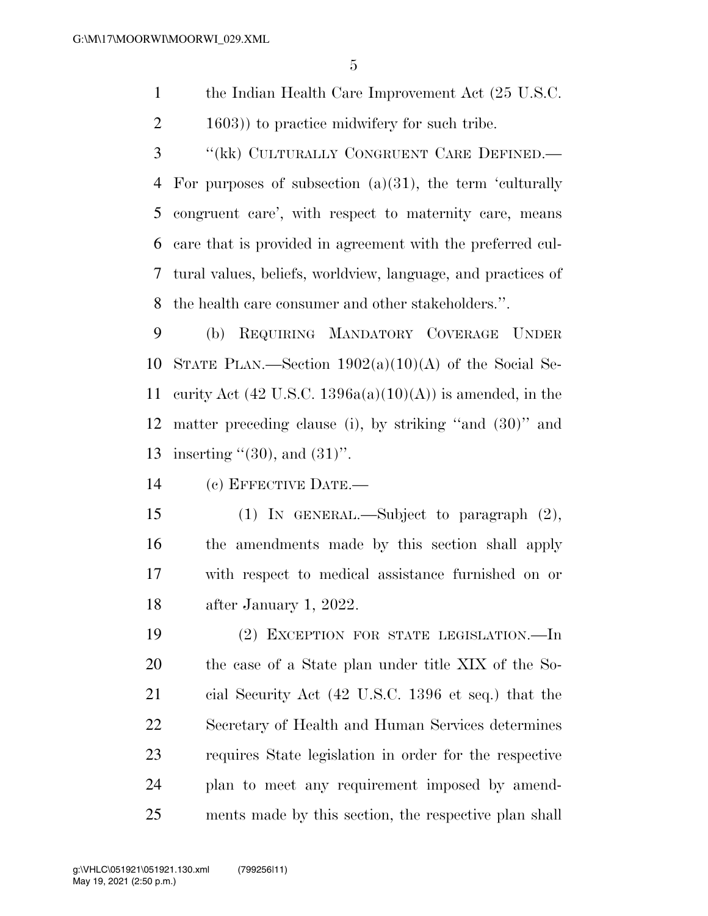1 the Indian Health Care Improvement Act (25 U.S.C. 2 1603) to practice midwifery for such tribe.

 ''(kk) CULTURALLY CONGRUENT CARE DEFINED.— For purposes of subsection (a)(31), the term 'culturally congruent care', with respect to maternity care, means care that is provided in agreement with the preferred cul- tural values, beliefs, worldview, language, and practices of the health care consumer and other stakeholders.''.

 (b) REQUIRING MANDATORY COVERAGE UNDER 10 STATE PLAN.—Section  $1902(a)(10)(A)$  of the Social Se-11 curity Act (42 U.S.C. 1396a(a)(10)(A)) is amended, in the matter preceding clause (i), by striking ''and (30)'' and 13 inserting  $(30)$ , and  $(31)$ ".

(c) EFFECTIVE DATE.—

 (1) IN GENERAL.—Subject to paragraph (2), the amendments made by this section shall apply with respect to medical assistance furnished on or after January 1, 2022.

 (2) EXCEPTION FOR STATE LEGISLATION.—In the case of a State plan under title XIX of the So- cial Security Act (42 U.S.C. 1396 et seq.) that the Secretary of Health and Human Services determines requires State legislation in order for the respective plan to meet any requirement imposed by amend-ments made by this section, the respective plan shall